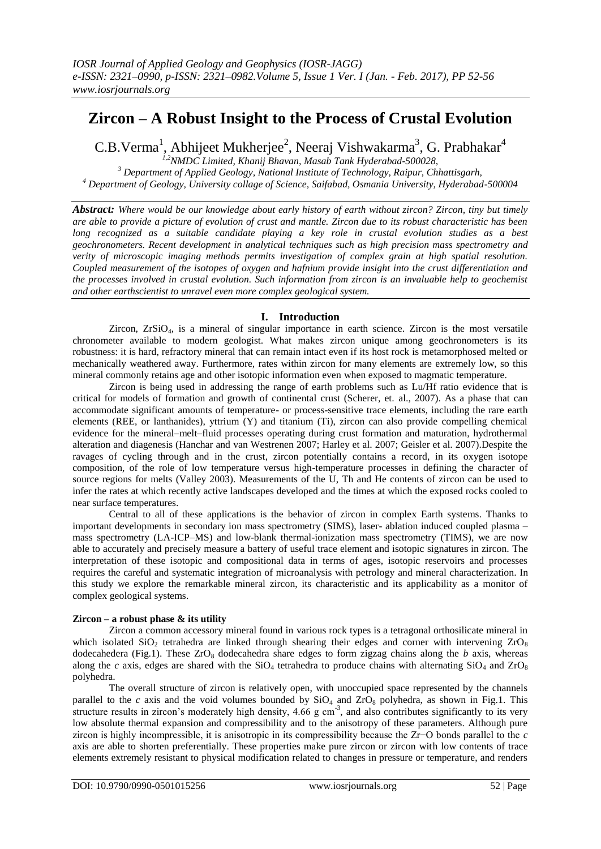# **Zircon – A Robust Insight to the Process of Crustal Evolution**

C.B.Verma<sup>1</sup>, Abhijeet Mukherjee<sup>2</sup>, Neeraj Vishwakarma<sup>3</sup>, G. Prabhakar<sup>4</sup>

*1,2NMDC Limited, Khanij Bhavan, Masab Tank Hyderabad-500028, <sup>3</sup> Department of Applied Geology, National Institute of Technology, Raipur, Chhattisgarh, <sup>4</sup> Department of Geology, University collage of Science, Saifabad, Osmania University, Hyderabad-500004*

*Abstract: Where would be our knowledge about early history of earth without zircon? Zircon, tiny but timely are able to provide a picture of evolution of crust and mantle. Zircon due to its robust characteristic has been long recognized as a suitable candidate playing a key role in crustal evolution studies as a best geochronometers. Recent development in analytical techniques such as high precision mass spectrometry and verity of microscopic imaging methods permits investigation of complex grain at high spatial resolution. Coupled measurement of the isotopes of oxygen and hafnium provide insight into the crust differentiation and the processes involved in crustal evolution. Such information from zircon is an invaluable help to geochemist and other earthscientist to unravel even more complex geological system.*

### **I. Introduction**

Zircon, ZrSiO4, is a mineral of singular importance in earth science. Zircon is the most versatile chronometer available to modern geologist. What makes zircon unique among geochronometers is its robustness: it is hard, refractory mineral that can remain intact even if its host rock is metamorphosed melted or mechanically weathered away. Furthermore, rates within zircon for many elements are extremely low, so this mineral commonly retains age and other isotopic information even when exposed to magmatic temperature.

Zircon is being used in addressing the range of earth problems such as Lu/Hf ratio evidence that is critical for models of formation and growth of continental crust (Scherer, et. al., 2007). As a phase that can accommodate significant amounts of temperature- or process-sensitive trace elements, including the rare earth elements (REE, or lanthanides), yttrium (Y) and titanium (Ti), zircon can also provide compelling chemical evidence for the mineral–melt–fluid processes operating during crust formation and maturation, hydrothermal alteration and diagenesis (Hanchar and van Westrenen 2007; Harley et al. 2007; Geisler et al. 2007).Despite the ravages of cycling through and in the crust, zircon potentially contains a record, in its oxygen isotope composition, of the role of low temperature versus high-temperature processes in defining the character of source regions for melts (Valley 2003). Measurements of the U, Th and He contents of zircon can be used to infer the rates at which recently active landscapes developed and the times at which the exposed rocks cooled to near surface temperatures.

Central to all of these applications is the behavior of zircon in complex Earth systems. Thanks to important developments in secondary ion mass spectrometry (SIMS), laser- ablation induced coupled plasma – mass spectrometry (LA-ICP–MS) and low-blank thermal-ionization mass spectrometry (TIMS), we are now able to accurately and precisely measure a battery of useful trace element and isotopic signatures in zircon. The interpretation of these isotopic and compositional data in terms of ages, isotopic reservoirs and processes requires the careful and systematic integration of microanalysis with petrology and mineral characterization. In this study we explore the remarkable mineral zircon, its characteristic and its applicability as a monitor of complex geological systems.

### **Zircon – a robust phase & its utility**

Zircon a common accessory mineral found in various rock types is a tetragonal orthosilicate mineral in which isolated  $SiO<sub>2</sub>$  tetrahedra are linked through shearing their edges and corner with intervening  $ZrO<sub>8</sub>$ dodecahedera (Fig.1). These  $ZrO_8$  dodecahedra share edges to form zigzag chains along the *b* axis, whereas along the *c* axis, edges are shared with the  $SiO_4$  tetrahedra to produce chains with alternating  $SiO_4$  and  $ZrO_8$ polyhedra.

The overall structure of zircon is relatively open, with unoccupied space represented by the channels parallel to the  $c$  axis and the void volumes bounded by  $SiO<sub>4</sub>$  and  $ZrO<sub>8</sub>$  polyhedra, as shown in Fig.1. This structure results in zircon's moderately high density,  $4.66$  g cm<sup>-3</sup>, and also contributes significantly to its very low absolute thermal expansion and compressibility and to the anisotropy of these parameters. Although pure zircon is highly incompressible, it is anisotropic in its compressibility because the Zr−O bonds parallel to the *c*  axis are able to shorten preferentially. These properties make pure zircon or zircon with low contents of trace elements extremely resistant to physical modification related to changes in pressure or temperature, and renders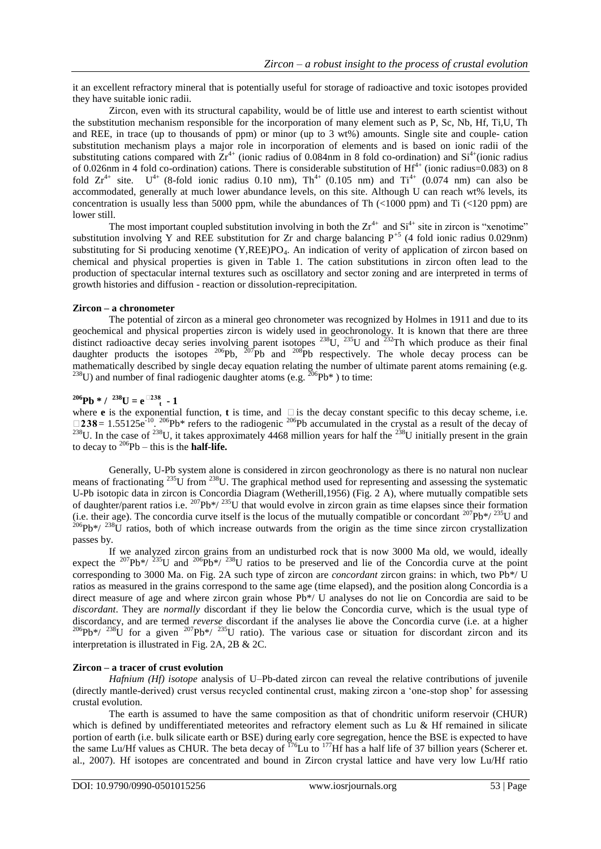it an excellent refractory mineral that is potentially useful for storage of radioactive and toxic isotopes provided they have suitable ionic radii.

Zircon, even with its structural capability, would be of little use and interest to earth scientist without the substitution mechanism responsible for the incorporation of many element such as P, Sc, Nb, Hf, Ti,U, Th and REE, in trace (up to thousands of ppm) or minor (up to 3 wt%) amounts. Single site and couple- cation substitution mechanism plays a major role in incorporation of elements and is based on ionic radii of the substituting cations compared with  $\bar{Z}t^{4+}$  (ionic radius of 0.084nm in 8 fold co-ordination) and  $\mathrm{Si}^{4+}$ (ionic radius of 0.026nm in 4 fold co-ordination) cations. There is considerable substitution of  $\text{Hf}^{4+}$  (ionic radius=0.083) on 8 fold  $Zr^{4+}$  site.  $U^{4+}$  (8-fold ionic radius 0.10 nm),  $Th^{4+}$  (0.105 nm) and  $Ti^{4+}$  (0.074 nm) can also be accommodated, generally at much lower abundance levels, on this site. Although U can reach wt% levels, its concentration is usually less than 5000 ppm, while the abundances of Th  $\left($ <1000 ppm) and Ti  $\left($  <120 ppm) are lower still.

The most important coupled substitution involving in both the  $Zr^{4+}$  and  $Si^{4+}$  site in zircon is "xenotime" substitution involving Y and REE substitution for Zr and charge balancing  $P^{+5}$  (4 fold ionic radius 0.029nm) substituting for Si producing xenotime  $(Y,REE)PO<sub>4</sub>$ . An indication of verity of application of zircon based on chemical and physical properties is given in Table 1. The cation substitutions in zircon often lead to the production of spectacular internal textures such as oscillatory and sector zoning and are interpreted in terms of growth histories and diffusion - reaction or dissolution-reprecipitation.

### **Zircon – a chronometer**

The potential of zircon as a mineral geo chronometer was recognized by Holmes in 1911 and due to its geochemical and physical properties zircon is widely used in geochronology. It is known that there are three distinct radioactive decay series involving parent isotopes  $^{238}U$ ,  $^{235}U$  and  $^{232}Th$  which produce as their final daughter products the isotopes  $^{206}Pb$ ,  $^{207}Pb$  and  $^{208}Pb$  respectively. The whole decay process can be mathematically described by single decay equation relating the number of ultimate parent atoms remaining (e.g. <sup>238</sup>U) and number of final radiogenic daughter atoms (e.g. <sup>206</sup>Pb<sup>\*</sup>) to time:

## $2^{206}Pb * / 2^{38}U = e^{\square 238}t - 1$

where **e** is the exponential function, **t** is time, and  $\Box$  is the decay constant specific to this decay scheme, i.e.  $\square$ **238** = 1.55125e<sup>-10</sup>. <sup>206</sup>Pb\* refers to the radiogenic <sup>206</sup>Pb accumulated in the crystal as a result of the decay of <sup>238</sup>U. In the case of <sup>238</sup>U, it takes approximately 4468 million years for half the <sup>238</sup>U initially present in the grain to decay to  $^{206}Pb - this$  is the **half-life.** 

Generally, U-Pb system alone is considered in zircon geochronology as there is no natural non nuclear means of fractionating <sup>235</sup>U from <sup>238</sup>U. The graphical method used for representing and assessing the systematic means of fractionating <sup>235</sup>U. U-Pb isotopic data in zircon is Concordia Diagram (Wetherill,1956) (Fig. 2 A), where mutually compatible sets of daughter/parent ratios i.e.  $^{207}Pb*/^{235}U$  that would evolve in zircon grain as time elapses since their formation (i.e. their age). The concordia curve itself is the locus of the mutually compatible or concordant  $^{207}Pb*/^{235}U$  and  $^{206}Pb*/^{238}U$  ratios, both of which increase outwards from the origin as the time since zircon crystallization passes by.

If we analyzed zircon grains from an undisturbed rock that is now 3000 Ma old, we would, ideally expect the <sup>207</sup>Pb<sup>\*</sup>/<sup>235</sup>U and <sup>206</sup>Pb<sup>\*</sup>/<sup>238</sup>U ratios to be preserved and lie of the Concordia curve at the point corresponding to 3000 Ma. on Fig. 2A such type of zircon are *concordant* zircon grains: in which, two Pb\*/ U ratios as measured in the grains correspond to the same age (time elapsed), and the position along Concordia is a direct measure of age and where zircon grain whose Pb<sup>\*</sup>/ U analyses do not lie on Concordia are said to be *discordant*. They are *normally* discordant if they lie below the Concordia curve, which is the usual type of discordancy, and are termed *reverse* discordant if the analyses lie above the Concordia curve (i.e. at a higher  $^{206}Pb*/^{238}U$  for a given  $^{207}Pb*/^{235}U$  ratio). The various case or situation for discordant zircon and its interpretation is illustrated in Fig. 2A, 2B & 2C.

### **Zircon – a tracer of crust evolution**

*Hafnium (Hf) isotope* analysis of U–Pb-dated zircon can reveal the relative contributions of juvenile (directly mantle-derived) crust versus recycled continental crust, making zircon a "one-stop shop" for assessing crustal evolution.

The earth is assumed to have the same composition as that of chondritic uniform reservoir (CHUR) which is defined by undifferentiated meteorites and refractory element such as Lu & Hf remained in silicate portion of earth (i.e. bulk silicate earth or BSE) during early core segregation, hence the BSE is expected to have the same Lu/Hf values as CHUR. The beta decay of  $^{176}$ Lu to  $^{177}$ Hf has a half life of 37 billion years (Scherer et. al., 2007). Hf isotopes are concentrated and bound in Zircon crystal lattice and have very low Lu/Hf ratio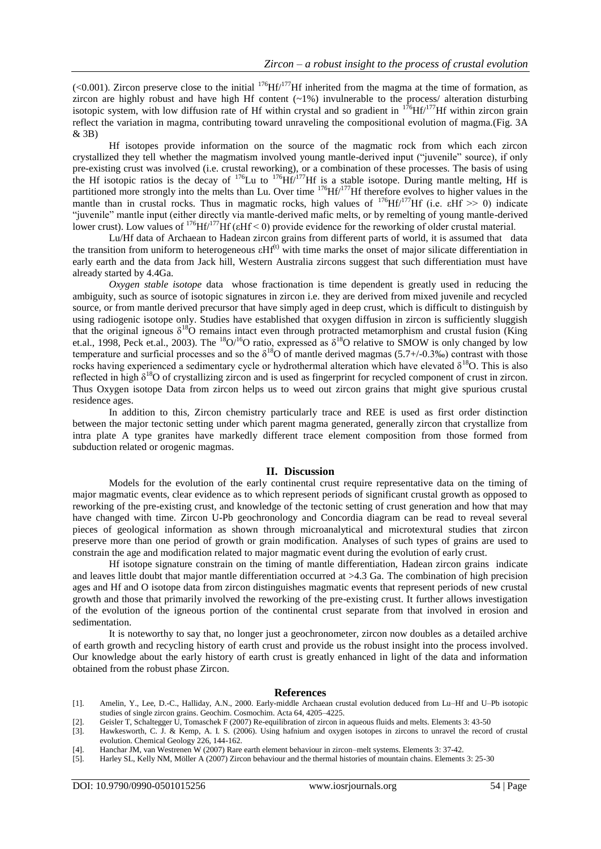(<0.001). Zircon preserve close to the initial <sup>176</sup>Hf/<sup>177</sup>Hf inherited from the magma at the time of formation, as zircon are highly robust and have high Hf content  $(\sim 1\%)$  invulnerable to the process/ alteration disturbing isotopic system, with low diffusion rate of Hf within crystal and so gradient in  $176$ Hf/ $177$ Hf within zircon grain reflect the variation in magma, contributing toward unraveling the compositional evolution of magma.(Fig. 3A & 3B)

Hf isotopes provide information on the source of the magmatic rock from which each zircon crystallized they tell whether the magmatism involved young mantle-derived input ("juvenile" source), if only pre-existing crust was involved (i.e. crustal reworking), or a combination of these processes. The basis of using the Hf isotopic ratios is the decay of  $176$ Lu to  $176$ Hf/ $177$ Hf is a stable isotope. During mantle melting, Hf is partitioned more strongly into the melts than Lu. Over time <sup>176</sup>Hf/<sup>177</sup>Hf therefore evolves to higher values in the mantle than in crustal rocks. Thus in magmatic rocks, high values of  $176$ Hf/ $177$ Hf (i.e.  $\text{eff}$   $\gg$  0) indicate "juvenile" mantle input (either directly via mantle-derived mafic melts, or by remelting of young mantle-derived lower crust). Low values of <sup>176</sup>Hf/<sup>177</sup>Hf ( $\varepsilon$ Hf < 0) provide evidence for the reworking of older crustal material.

Lu/Hf data of Archaean to Hadean zircon grains from different parts of world, it is assumed that data the transition from uniform to heterogeneous  $\epsilon Hf^{(t)}$  with time marks the onset of major silicate differentiation in early earth and the data from Jack hill, Western Australia zircons suggest that such differentiation must have already started by 4.4Ga.

*Oxygen stable isotope* data whose fractionation is time dependent is greatly used in reducing the ambiguity, such as source of isotopic signatures in zircon i.e. they are derived from mixed juvenile and recycled source, or from mantle derived precursor that have simply aged in deep crust, which is difficult to distinguish by using radiogenic isotope only. Studies have established that oxygen diffusion in zircon is sufficiently sluggish that the original igneous  $\delta^{18}$ O remains intact even through protracted metamorphism and crustal fusion (King et.al., 1998, Peck et.al., 2003). The <sup>18</sup>O/<sup>16</sup>O ratio, expressed as  $\delta^{18}$ O relative to SMOW is only changed by low temperature and surficial processes and so the  $\delta^{18}O$  of mantle derived magmas (5.7+/-0.3‰) contrast with those rocks having experienced a sedimentary cycle or hydrothermal alteration which have elevated  $\delta^{18}O$ . This is also reflected in high  $\delta^{18}$ O of crystallizing zircon and is used as fingerprint for recycled component of crust in zircon. Thus Oxygen isotope Data from zircon helps us to weed out zircon grains that might give spurious crustal residence ages.

In addition to this, Zircon chemistry particularly trace and REE is used as first order distinction between the major tectonic setting under which parent magma generated, generally zircon that crystallize from intra plate A type granites have markedly different trace element composition from those formed from subduction related or orogenic magmas.

#### **II. Discussion**

Models for the evolution of the early continental crust require representative data on the timing of major magmatic events, clear evidence as to which represent periods of significant crustal growth as opposed to reworking of the pre-existing crust, and knowledge of the tectonic setting of crust generation and how that may have changed with time. Zircon U-Pb geochronology and Concordia diagram can be read to reveal several pieces of geological information as shown through microanalytical and microtextural studies that zircon preserve more than one period of growth or grain modification. Analyses of such types of grains are used to constrain the age and modification related to major magmatic event during the evolution of early crust.

Hf isotope signature constrain on the timing of mantle differentiation, Hadean zircon grains indicate and leaves little doubt that major mantle differentiation occurred at >4.3 Ga. The combination of high precision ages and Hf and O isotope data from zircon distinguishes magmatic events that represent periods of new crustal growth and those that primarily involved the reworking of the pre-existing crust. It further allows investigation of the evolution of the igneous portion of the continental crust separate from that involved in erosion and sedimentation.

It is noteworthy to say that, no longer just a geochronometer, zircon now doubles as a detailed archive of earth growth and recycling history of earth crust and provide us the robust insight into the process involved. Our knowledge about the early history of earth crust is greatly enhanced in light of the data and information obtained from the robust phase Zircon.

#### **References**

- [1]. Amelin, Y., Lee, D.-C., Halliday, A.N., 2000. Early-middle Archaean crustal evolution deduced from Lu–Hf and U–Pb isotopic studies of single zircon grains. Geochim. Cosmochim. Acta 64, 4205–4225.
- [2]. Geisler T, Schaltegger U, Tomaschek F (2007) Re-equilibration of zircon in aqueous fluids and melts. Elements 3: 43-50
- [3]. Hawkesworth, C. J. & Kemp, A. I. S. (2006). Using hafnium and oxygen isotopes in zircons to unravel the record of crustal evolution. Chemical Geology 226, 144-162.
- [4]. Hanchar JM, van Westrenen W (2007) Rare earth element behaviour in zircon–melt systems. Elements 3: 37-42.
- [5]. Harley SL, Kelly NM, Möller A (2007) Zircon behaviour and the thermal histories of mountain chains. Elements 3: 25-30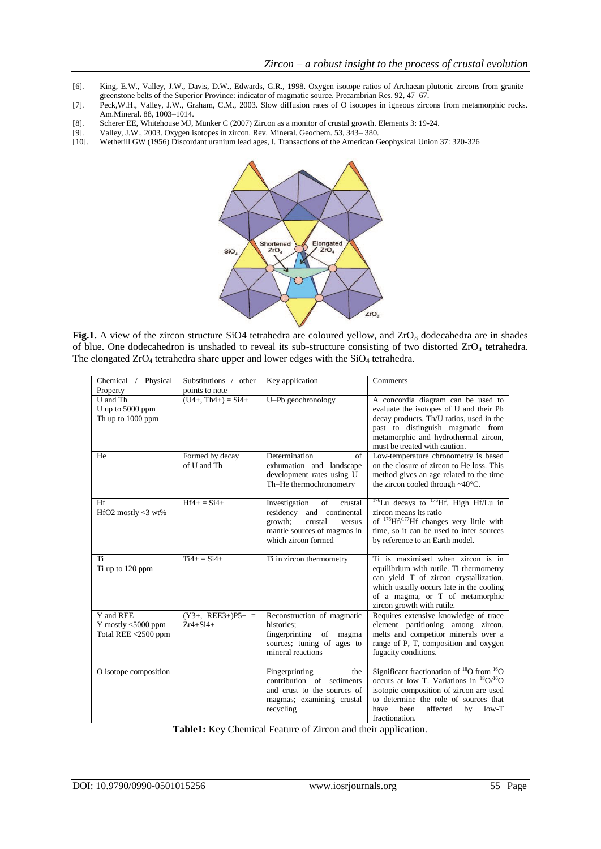- [6]. King, E.W., Valley, J.W., Davis, D.W., Edwards, G.R., 1998. Oxygen isotope ratios of Archaean plutonic zircons from granite– greenstone belts of the Superior Province: indicator of magmatic source. Precambrian Res. 92, 47–67.
- [7]. Peck,W.H., Valley, J.W., Graham, C.M., 2003. Slow diffusion rates of O isotopes in igneous zircons from metamorphic rocks. Am.Mineral. 88, 1003–1014.
- [8]. Scherer EE, Whitehouse MJ, Münker C (2007) Zircon as a monitor of crustal growth. Elements 3: 19-24. [9]. Valley, J.W., 2003. Oxygen isotopes in zircon. Rev. Mineral. Geochem. 53, 343–380.
- [9]. Valley, J.W., 2003. Oxygen isotopes in zircon. Rev. Mineral. Geochem. 53, 343–380.<br>[10]. Wetherill GW (1956) Discordant uranium lead ages, I. Transactions of the American C
- [10]. Wetherill GW (1956) Discordant uranium lead ages, I. Transactions of the American Geophysical Union 37: 320-326



Fig.1. A view of the zircon structure SiO4 tetrahedra are coloured yellow, and ZrO<sub>8</sub> dodecahedra are in shades of blue. One dodecahedron is unshaded to reveal its sub-structure consisting of two distorted ZrO<sub>4</sub> tetrahedra. The elongated  $ZrO_4$  tetrahedra share upper and lower edges with the  $SiO_4$  tetrahedra.

| Physical<br>Chemical /                                       | Substitutions /<br>other                              | Key application                                                                                                                                         | Comments                                                                                                                                                                                                                                                         |
|--------------------------------------------------------------|-------------------------------------------------------|---------------------------------------------------------------------------------------------------------------------------------------------------------|------------------------------------------------------------------------------------------------------------------------------------------------------------------------------------------------------------------------------------------------------------------|
| Property                                                     | points to note                                        |                                                                                                                                                         |                                                                                                                                                                                                                                                                  |
| U and Th<br>U up to 5000 ppm<br>Th up to 1000 ppm            | $(\overline{U4+}, \overline{Th4+}) = \overline{Si4+}$ | U-Pb geochronology                                                                                                                                      | A concordia diagram can be used to<br>evaluate the isotopes of U and their Pb<br>decay products. Th/U ratios, used in the<br>past to distinguish magmatic from<br>metamorphic and hydrothermal zircon,<br>must be treated with caution.                          |
| He                                                           | Formed by decay<br>of U and Th                        | Determination<br>of<br>exhumation and landscape<br>development rates using U-<br>Th-He thermochronometry                                                | Low-temperature chronometry is based<br>on the closure of zircon to He loss. This<br>method gives an age related to the time<br>the zircon cooled through $\sim40^{\circ}$ C.                                                                                    |
| Hf<br>HfO2 mostly $<$ 3 wt%                                  | $Hf4+ = Si4+$                                         | Investigation<br>of<br>crustal<br>residency<br>and<br>continental<br>growth;<br>crustal<br>versus<br>mantle sources of magmas in<br>which zircon formed | <sup>176</sup> Lu decays to <sup>176</sup> Hf. High Hf/Lu in<br>zircon means its ratio<br>of $^{176}$ Hf/ $^{177}$ Hf changes very little with<br>time, so it can be used to infer sources<br>by reference to an Earth model.                                    |
| Ti<br>Ti up to 120 ppm                                       | $Ti4+ = Si4+$                                         | Ti in zircon thermometry                                                                                                                                | Ti is maximised when zircon is in<br>equilibrium with rutile. Ti thermometry<br>can yield T of zircon crystallization,<br>which usually occurs late in the cooling<br>of a magma, or T of metamorphic<br>zircon growth with rutile.                              |
| Y and REE<br>Y mostly $<$ 5000 ppm<br>Total REE $<$ 2500 ppm | $(Y3+, REE3+)P5+ =$<br>$7r4 + Si4 +$                  | Reconstruction of magmatic<br>histories:<br>fingerprinting<br>of<br>magma<br>sources; tuning of ages to<br>mineral reactions                            | Requires extensive knowledge of trace<br>element partitioning among zircon,<br>melts and competitor minerals over a<br>range of P, T, composition and oxygen<br>fugacity conditions.                                                                             |
| O isotope composition                                        |                                                       | Fingerprinting<br>the<br>contribution of sediments<br>and crust to the sources of<br>magmas; examining crustal<br>recycling                             | Significant fractionation of ${}^{18}O$ from ${}^{16}O$<br>occurs at low T. Variations in ${}^{18}O/{}^{16}O$<br>isotopic composition of zircon are used<br>to determine the role of sources that<br>have<br>heen<br>affected<br>$low-T$<br>by<br>fractionation. |

**Table1:** Key Chemical Feature of Zircon and their application.